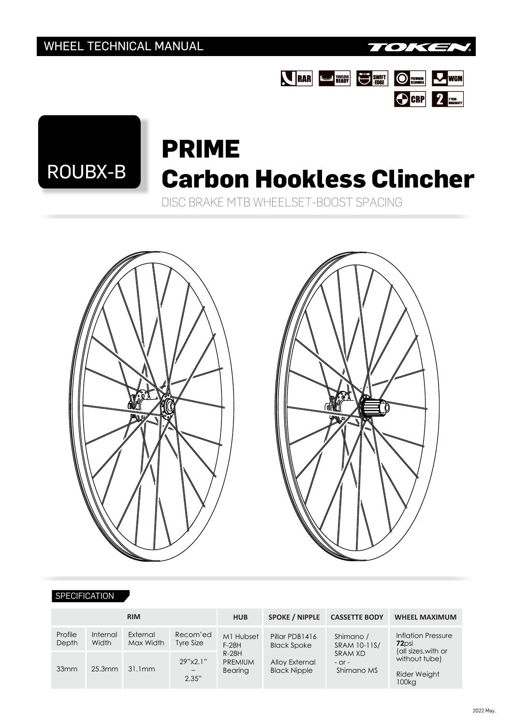





# **PRIME** ROUBX-B **Carbon Hookless Clincher**

DISC BRAKE MTB WHEELSET-BOOST SPACING





#### **SPECIFICATION**

| <b>RIM</b>       |                   |                       |                          | <b>HUB</b>                           | <b>SPOKE / NIPPLE</b><br><b>CASSETTE BODY</b> |                                                                  | <b>WHEEL MAXIMUM</b>                                                                                            |
|------------------|-------------------|-----------------------|--------------------------|--------------------------------------|-----------------------------------------------|------------------------------------------------------------------|-----------------------------------------------------------------------------------------------------------------|
| Profile<br>Depth | Internal<br>Width | External<br>Max Width | Recom'ed<br>Tyre Size    | M1 Hubset<br>$F-28H$                 | Pillar PDB1416<br><b>Black Spoke</b>          | Shimano /<br>SRAM 10-11S/<br>SRAM XD<br>$-$ Or $-$<br>Shimano MS | <b>Inflation Pressure</b><br>72 <sub>psi</sub><br>(all sizes, with or<br>without tube)<br>Rider Weight<br>100kg |
| 33mm             | $25.3$ mm         | 31.1mm                | 29"x2.1"<br>$-$<br>2.35" | $R-28H$<br><b>PREMIUM</b><br>Bearing | Alloy External<br><b>Black Nipple</b>         |                                                                  |                                                                                                                 |